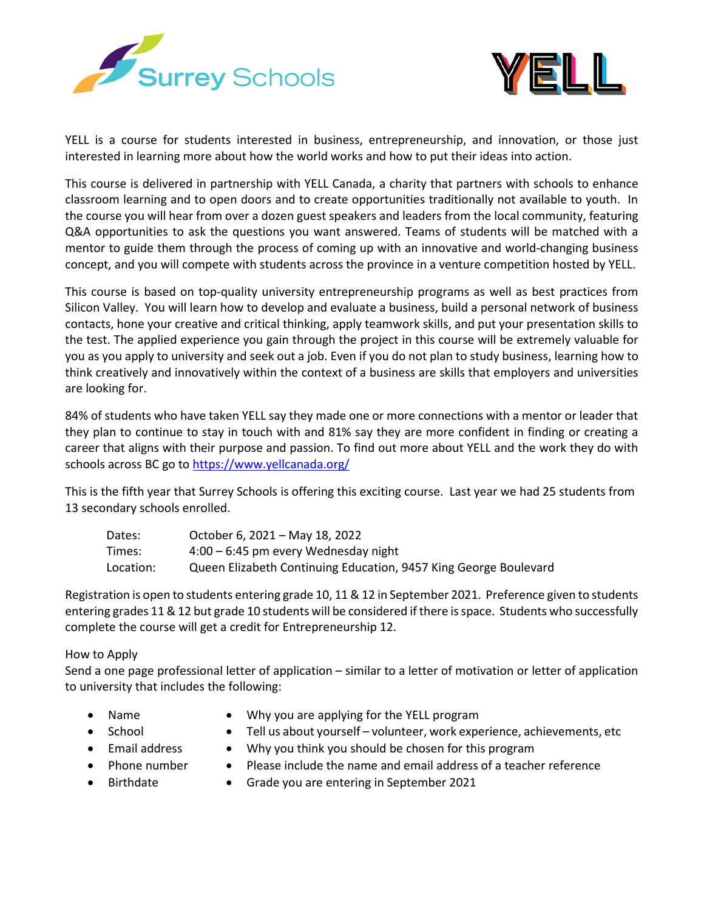



YELL is a course for students interested in business, entrepreneurship, and innovation, or those just interested in learning more about how the world works and how to put their ideas into action.

This course is delivered in partnership with YELL Canada, a charity that partners with schools to enhance classroom learning and to open doors and to create opportunities traditionally not available to youth. In the course you will hear from over a dozen guest speakers and leaders from the local community, featuring Q&A opportunities to ask the questions you want answered. Teams of students will be matched with a mentor to guide them through the process of coming up with an innovative and world-changing business concept, and you will compete with students across the province in a venture competition hosted by YELL.

This course is based on top-quality university entrepreneurship programs as well as best practices from Silicon Valley. You will learn how to develop and evaluate a business, build a personal network of business contacts, hone your creative and critical thinking, apply teamwork skills, and put your presentation skills to the test. The applied experience you gain through the project in this course will be extremely valuable for you as you apply to university and seek out a job. Even if you do not plan to study business, learning how to think creatively and innovatively within the context of a business are skills that employers and universities are looking for.

84% of students who have taken YELL say they made one or more connections with a mentor or leader that they plan to continue to stay in touch with and 81% say they are more confident in finding or creating a career that aligns with their purpose and passion. To find out more about YELL and the work they do with schools across BC go to <https://www.yellcanada.org/>

This is the fifth year that Surrey Schools is offering this exciting course. Last year we had 25 students from 13 secondary schools enrolled.

| Dates:    | October 6, 2021 - May 18, 2022                                   |
|-----------|------------------------------------------------------------------|
| Times:    | $4:00 - 6:45$ pm every Wednesday night                           |
| Location: | Queen Elizabeth Continuing Education, 9457 King George Boulevard |

Registration is open to students entering grade 10, 11 & 12 in September 2021. Preference given to students entering grades 11 & 12 but grade 10 students will be considered if there is space. Students who successfully complete the course will get a credit for Entrepreneurship 12.

## How to Apply

Send a one page professional letter of application – similar to a letter of motivation or letter of application to university that includes the following:

- 
- Name Why you are applying for the YELL program
- 
- School Tell us about yourself volunteer, work experience, achievements, etc
- 
- Email address Why you think you should be chosen for this program
- Phone number
- Please include the name and email address of a teacher reference
- Birthdate
- Grade you are entering in September 2021